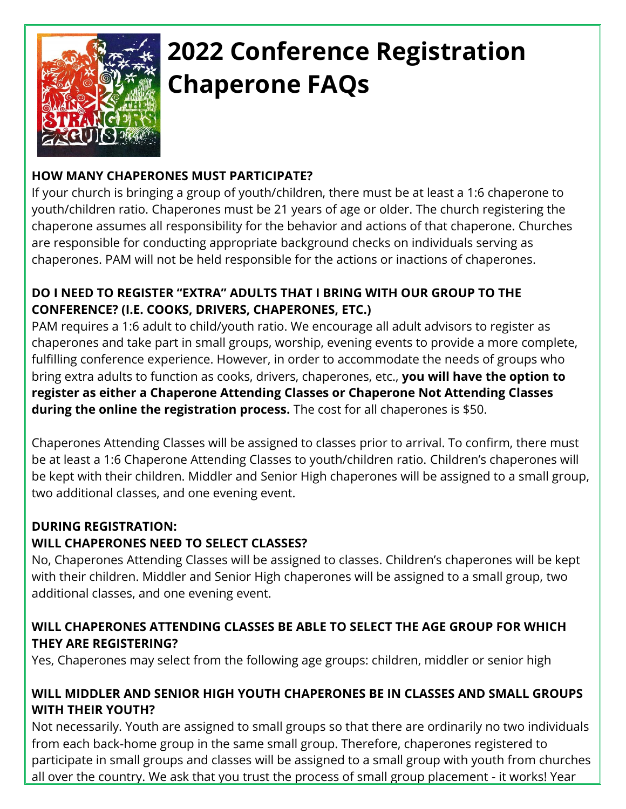

# **2022 Conference Registration Chaperone FAQs**

## **HOW MANY CHAPERONES MUST PARTICIPATE?**

If your church is bringing a group of youth/children, there must be at least a 1:6 chaperone to youth/children ratio. Chaperones must be 21 years of age or older. The church registering the chaperone assumes all responsibility for the behavior and actions of that chaperone. Churches are responsible for conducting appropriate background checks on individuals serving as chaperones. PAM will not be held responsible for the actions or inactions of chaperones.

#### **DO I NEED TO REGISTER "EXTRA" ADULTS THAT I BRING WITH OUR GROUP TO THE CONFERENCE? (I.E. COOKS, DRIVERS, CHAPERONES, ETC.)**

PAM requires a 1:6 adult to child/youth ratio. We encourage all adult advisors to register as chaperones and take part in small groups, worship, evening events to provide a more complete, fulfilling conference experience. However, in order to accommodate the needs of groups who bring extra adults to function as cooks, drivers, chaperones, etc., **you will have the option to register as either a Chaperone Attending Classes or Chaperone Not Attending Classes during the online the registration process.** The cost for all chaperones is \$50.

Chaperones Attending Classes will be assigned to classes prior to arrival. To confirm, there must be at least a 1:6 Chaperone Attending Classes to youth/children ratio. Children's chaperones will be kept with their children. Middler and Senior High chaperones will be assigned to a small group, two additional classes, and one evening event.

#### **DURING REGISTRATION:**

#### **WILL CHAPERONES NEED TO SELECT CLASSES?**

No, Chaperones Attending Classes will be assigned to classes. Children's chaperones will be kept with their children. Middler and Senior High chaperones will be assigned to a small group, two additional classes, and one evening event.

#### **WILL CHAPERONES ATTENDING CLASSES BE ABLE TO SELECT THE AGE GROUP FOR WHICH THEY ARE REGISTERING?**

Yes, Chaperones may select from the following age groups: children, middler or senior high

#### **WILL MIDDLER AND SENIOR HIGH YOUTH CHAPERONES BE IN CLASSES AND SMALL GROUPS WITH THEIR YOUTH?**

Not necessarily. Youth are assigned to small groups so that there are ordinarily no two individuals from each back-home group in the same small group. Therefore, chaperones registered to participate in small groups and classes will be assigned to a small group with youth from churches all over the country. We ask that you trust the process of small group placement - it works! Year